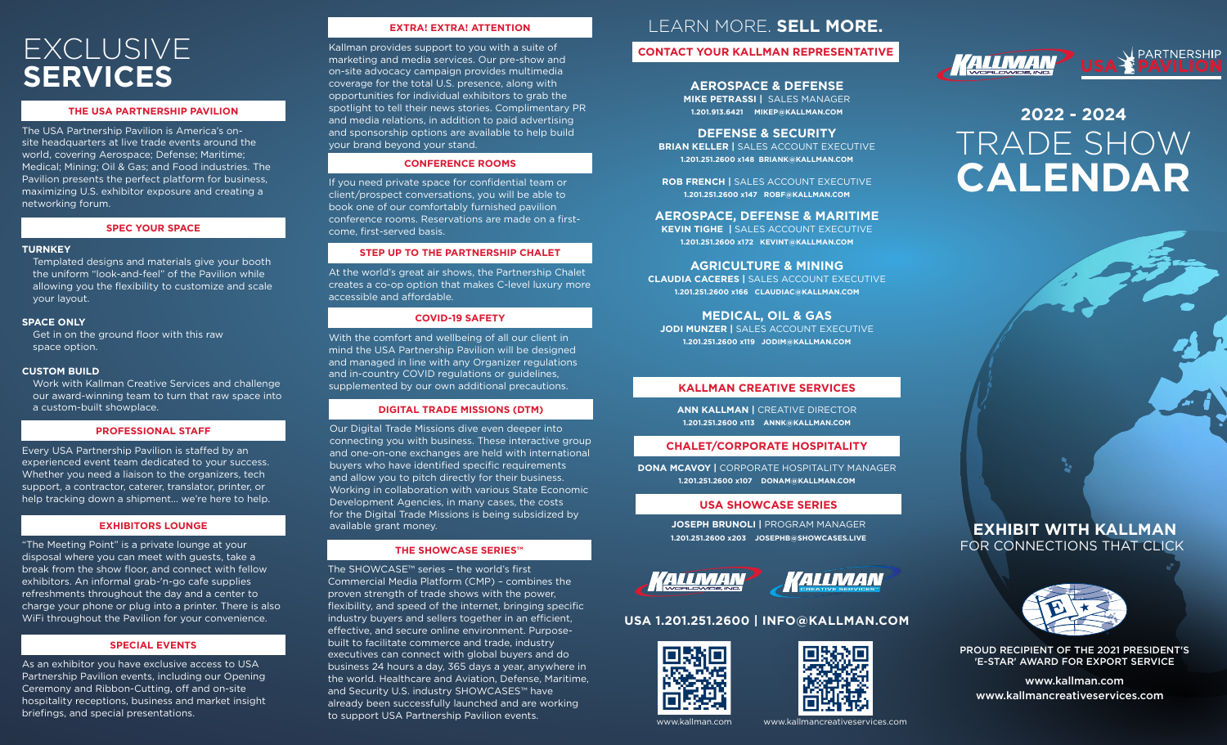## EXCLUSIVE **SERVICES**

#### **THE USA PARTNERSHIP PAVILION**

The USA Partnership Pavilion is America's onsite headquarters at live trade events around the world, covering Aerospace; Defense; Maritime; Medical; Mining; Oil & Gas; and Food industries. The Pavilion presents the perfect platform for business, maximizing U.S. exhibitor exposure and creating a networking forum.

#### **SPEC YOUR SPACE**

#### **TURNKEY**

Templated designs and materials give your booth the uniform "look-and-feel" of the Pavilion while allowing you the flexibility to customize and scale your layout.

#### **SPACE ONLY**

Get in on the ground floor with this raw space option.

#### **CUSTOM BUILD**

Work with Kallman Creative Services and challenge our award-winning team to turn that raw space into a custom-built showplace.

#### **PROFESSIONAL STAFF**

Every USA Partnership Pavilion is staffed by an experienced event team dedicated to your success. Whether you need a liaison to the organizers, tech support, a contractor, caterer, translator, printer, or help tracking down a shipment... we're here to help.

#### **EXHIBITORS LOUNGE**

"The Meeting Point" is a private lounge at your disposal where you can meet with guests, take a break from the show floor, and connect with fellow exhibitors. An informal grab-'n-go cafe supplies refreshments throughout the day and a center to charge your phone or plug into a printer. There is also WiFi throughout the Pavilion for your convenience.

#### **SPECIAL EVENTS**

As an exhibitor you have exclusive access to USA Partnership Pavilion events, including our Opening Ceremony and Ribbon-Cutting, off and on-site hospitality receptions, business and market insight briefings, and special presentations.

#### **EXTRA! EXTRA! ATTENTION**

Kallman provides support to you with a suite of marketing and media services. Our pre-show and on-site advocacy campaign provides multimedia coverage for the total U.S. presence, along with opportunities for individual exhibitors to grab the spotlight to tell their news stories. Complimentary PR and media relations, in addition to paid advertising and sponsorship options are available to help build your brand beyond your stand.

#### **CONFERENCE ROOMS**

If you need private space for confidential team or client/prospect conversations, you will be able to book one of our comfortably furnished pavilion conference rooms. Reservations are made on a firstcome, first-served basis.

#### **STEP UP TO THE PARTNERSHIP CHALET**

At the world's great air shows, the Partnership Chalet creates a co-op option that makes C-level luxury more accessible and affordable.

#### **COVID-19 SAFETY**

With the comfort and wellbeing of all our client in mind the USA Partnership Pavilion will be designed and managed in line with any Organizer regulations and in-country COVID regulations or guidelines, supplemented by our own additional precautions.

#### **DIGITAL TRADE MISSIONS (DTM)**

Our Digital Trade Missions dive even deeper into connecting you with business. These interactive group and one-on-one exchanges are held with international buyers who have identified specific requirements and allow you to pitch directly for their business. Working in collaboration with various State Economic Development Agencies, in many cases, the costs for the Digital Trade Missions is being subsidized by available grant money.

#### **THE SHOWCASE SERIES™**

The SHOWCASE™ series – the world's first Commercial Media Platform (CMP) – combines the proven strength of trade shows with the power, flexibility, and speed of the internet, bringing specific industry buyers and sellers together in an efficient, effective, and secure online environment. Purposebuilt to facilitate commerce and trade, industry executives can connect with global buyers and do business 24 hours a day, 365 days a year, anywhere in the world. Healthcare and Aviation, Defense, Maritime, and Security U.S. industry SHOWCASES™ have already been successfully launched and are working to support USA Partnership Pavilion events.

## LEARN MORE. **SELL MORE.**

### **CONTACT YOUR KALLMAN REPRESENTATIVE**

**AEROSPACE & DEFENSE MIKE PETRASSI |** SALES MANAGER **1.201.913.6421 [MIKEP@KALLMAN.COM](mailto:MIKEP@KALLMAN.COM)**

#### **DEFENSE & SECURITY**

**BRIAN KELLER |** SALES ACCOUNT EXECUTIVE **1.201.251.2600 x148 [BRIANK@KALLMAN.COM](mailto:BRIANK@KALLMAN.COM)**

**ROB FRENCH |** SALES ACCOUNT EXECUTIVE **1.201.251.2600 x147 [ROBF@KALLMAN.COM](mailto:ROBF@KALLMAN.COM)**

#### **AEROSPACE, DEFENSE & MARITIME**

**KEVIN TIGHE |** SALES ACCOUNT EXECUTIVE **1.201.251.2600 x172 [KEVINT@KALLMAN.COM](mailto:KEVINT@KALLMAN.COM)**

**AGRICULTURE & MINING CLAUDIA CACERES |** SALES ACCOUNT EXECUTIVE **1.201.251.2600 x166 [CLAUDIAC@KALLMAN.COM](mailto:CLAUDIAC@KALLMAN.COM)**

**MEDICAL, OIL & GAS JODI MUNZER |** SALES ACCOUNT EXECUTIVE **1.201.251.2600 x119 [JODIM@KALLMAN.COM](mailto:JODIM@KALLMAN.COM)**

#### **KALLMAN CREATIVE SERVICES**

**ANN KALLMAN |** CREATIVE DIRECTOR **1.201.251.2600 x113 [ANNK@KALLMAN.COM](mailto:ANNK@KALLMAN.COM)**

#### **CHALET/CORPORATE HOSPITALITY**

**DONA MCAVOY |** CORPORATE HOSPITALITY MANAGER **1.201.251.2600 x107 [DONAM@KALLMAN.COM](mailto:DONAM@KALLMAN.COM)**

#### **USA SHOWCASE SERIES**

**JOSEPH BRUNOLI |** PROGRAM MANAGER **1.201.251.2600 x203 [JOSEPHB@SHOWCASES.LIVE](mailto:JOSEPHB@SHOWCASES.LIVE)**



## KALLMAN

### **USA 1.201.251.2600 | [INFO@KALLMAN.COM](mailto:INFO@KALLMAN.COM)**





## **TALLMAN**

# TRADE SHOW **CALENDAR 2022 - 2024**



## FOR CONNECTIONS THAT CLICK **EXHIBIT WITH KALLMAN**



PROUD RECIPIENT OF THE 2021 PRESIDENT'S 'E-STAR' AWARD FOR EXPORT SERVICE

[www.kallman.com](https://www.kallman.com/) [www.kallmancreativeservices.com](https://kallman.com/services/creative-services)

[www.kallman.com](https://www.kallman.com/) [www.kallmancreativeservices.com](http://www.kallmancreativeservices.com)